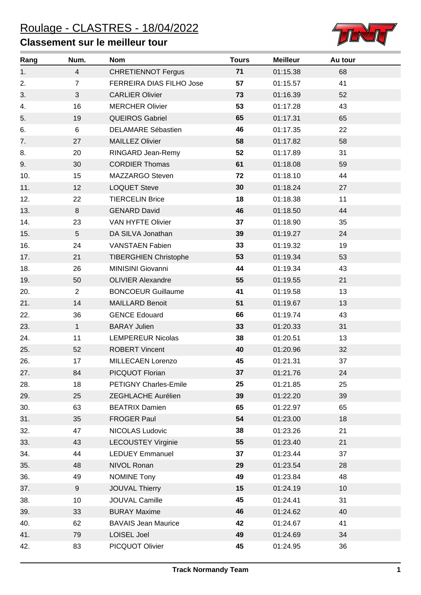## **Classement sur le meilleur tour**



| Rang | Num.           | <b>Nom</b>                   | <b>Tours</b> | <b>Meilleur</b> | Au tour |
|------|----------------|------------------------------|--------------|-----------------|---------|
| 1.   | $\overline{4}$ | <b>CHRETIENNOT Fergus</b>    | 71           | 01:15.38        | 68      |
| 2.   | $\overline{7}$ | FERREIRA DIAS FILHO Jose     | 57           | 01:15.57        | 41      |
| 3.   | 3              | <b>CARLIER Olivier</b>       | 73           | 01:16.39        | 52      |
| 4.   | 16             | <b>MERCHER Olivier</b>       | 53           | 01:17.28        | 43      |
| 5.   | 19             | <b>QUEIROS Gabriel</b>       | 65           | 01:17.31        | 65      |
| 6.   | 6              | <b>DELAMARE Sébastien</b>    | 46           | 01:17.35        | 22      |
| 7.   | 27             | <b>MAILLEZ Olivier</b>       | 58           | 01:17.82        | 58      |
| 8.   | 20             | RINGARD Jean-Remy            | 52           | 01:17.89        | 31      |
| 9.   | 30             | <b>CORDIER Thomas</b>        | 61           | 01:18.08        | 59      |
| 10.  | 15             | MAZZARGO Steven              | 72           | 01:18.10        | 44      |
| 11.  | 12             | <b>LOQUET Steve</b>          | 30           | 01:18.24        | 27      |
| 12.  | 22             | <b>TIERCELIN Brice</b>       | 18           | 01:18.38        | 11      |
| 13.  | 8              | <b>GENARD David</b>          | 46           | 01:18.50        | 44      |
| 14.  | 23             | VAN HYFTE Olivier            | 37           | 01:18.90        | 35      |
| 15.  | 5              | DA SILVA Jonathan            | 39           | 01:19.27        | 24      |
| 16.  | 24             | <b>VANSTAEN Fabien</b>       | 33           | 01:19.32        | 19      |
| 17.  | 21             | <b>TIBERGHIEN Christophe</b> | 53           | 01:19.34        | 53      |
| 18.  | 26             | MINISINI Giovanni            | 44           | 01:19.34        | 43      |
| 19.  | 50             | <b>OLIVIER Alexandre</b>     | 55           | 01:19.55        | 21      |
| 20.  | $\overline{2}$ | <b>BONCOEUR Guillaume</b>    | 41           | 01:19.58        | 13      |
| 21.  | 14             | <b>MAILLARD Benoit</b>       | 51           | 01:19.67        | 13      |
| 22.  | 36             | <b>GENCE Edouard</b>         | 66           | 01:19.74        | 43      |
| 23.  | $\mathbf{1}$   | <b>BARAY Julien</b>          | 33           | 01:20.33        | 31      |
| 24.  | 11             | <b>LEMPEREUR Nicolas</b>     | 38           | 01:20.51        | 13      |
| 25.  | 52             | <b>ROBERT Vincent</b>        | 40           | 01:20.96        | 32      |
| 26.  | 17             | MILLECAEN Lorenzo            | 45           | 01:21.31        | 37      |
| 27.  | 84             | PICQUOT Florian              | 37           | 01:21.76        | 24      |
| 28.  | 18             | PETIGNY Charles-Emile        | 25           | 01:21.85        | 25      |
| 29.  | 25             | ZEGHLACHE Aurélien           | 39           | 01:22.20        | 39      |
| 30.  | 63             | <b>BEATRIX Damien</b>        | 65           | 01:22.97        | 65      |
| 31.  | 35             | FROGER Paul                  | 54           | 01:23.00        | 18      |
| 32.  | 47             | NICOLAS Ludovic              | 38           | 01:23.26        | 21      |
| 33.  | 43             | <b>LECOUSTEY Virginie</b>    | 55           | 01:23.40        | 21      |
| 34.  | 44             | <b>LEDUEY Emmanuel</b>       | 37           | 01:23.44        | 37      |
| 35.  | 48             | NIVOL Ronan                  | 29           | 01:23.54        | 28      |
| 36.  | 49             | <b>NOMINE Tony</b>           | 49           | 01:23.84        | 48      |
| 37.  | 9              | <b>JOUVAL Thierry</b>        | 15           | 01:24.19        | 10      |
| 38.  | 10             | JOUVAL Camille               | 45           | 01:24.41        | 31      |
| 39.  | 33             | <b>BURAY Maxime</b>          | 46           | 01:24.62        | 40      |
| 40.  | 62             | <b>BAVAIS Jean Maurice</b>   | 42           | 01:24.67        | 41      |
| 41.  | 79             | LOISEL Joel                  | 49           | 01:24.69        | 34      |
| 42.  | 83             | PICQUOT Olivier              | 45           | 01:24.95        | 36      |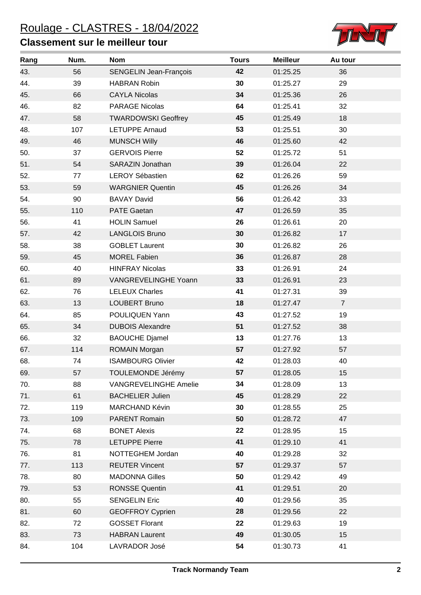## **Classement sur le meilleur tour**



| Rang | Num. | <b>Nom</b>                   | <b>Tours</b> | <b>Meilleur</b> | Au tour        |  |
|------|------|------------------------------|--------------|-----------------|----------------|--|
| 43.  | 56   | SENGELIN Jean-François       | 42           | 01:25.25        | 36             |  |
| 44.  | 39   | <b>HABRAN Robin</b>          | 30           | 01:25.27        | 29             |  |
| 45.  | 66   | <b>CAYLA Nicolas</b>         | 34           | 01:25.36        | 26             |  |
| 46.  | 82   | <b>PARAGE Nicolas</b>        | 64           | 01:25.41        | 32             |  |
| 47.  | 58   | <b>TWARDOWSKI Geoffrey</b>   | 45           | 01:25.49        | 18             |  |
| 48.  | 107  | <b>LETUPPE Arnaud</b>        | 53           | 01:25.51        | 30             |  |
| 49.  | 46   | <b>MUNSCH Willy</b>          | 46           | 01:25.60        | 42             |  |
| 50.  | 37   | <b>GERVOIS Pierre</b>        | 52           | 01:25.72        | 51             |  |
| 51.  | 54   | SARAZIN Jonathan             | 39           | 01:26.04        | 22             |  |
| 52.  | 77   | <b>LEROY Sébastien</b>       | 62           | 01:26.26        | 59             |  |
| 53.  | 59   | <b>WARGNIER Quentin</b>      | 45           | 01:26.26        | 34             |  |
| 54.  | 90   | <b>BAVAY David</b>           | 56           | 01:26.42        | 33             |  |
| 55.  | 110  | <b>PATE Gaetan</b>           | 47           | 01:26.59        | 35             |  |
| 56.  | 41   | <b>HOLIN Samuel</b>          | 26           | 01:26.61        | 20             |  |
| 57.  | 42   | <b>LANGLOIS Bruno</b>        | 30           | 01:26.82        | 17             |  |
| 58.  | 38   | <b>GOBLET Laurent</b>        | 30           | 01:26.82        | 26             |  |
| 59.  | 45   | <b>MOREL Fabien</b>          | 36           | 01:26.87        | 28             |  |
| 60.  | 40   | <b>HINFRAY Nicolas</b>       | 33           | 01:26.91        | 24             |  |
| 61.  | 89   | VANGREVELINGHE Yoann         | 33           | 01:26.91        | 23             |  |
| 62.  | 76   | <b>LELEUX Charles</b>        | 41           | 01:27.31        | 39             |  |
| 63.  | 13   | <b>LOUBERT Bruno</b>         | 18           | 01:27.47        | $\overline{7}$ |  |
| 64.  | 85   | POULIQUEN Yann               | 43           | 01:27.52        | 19             |  |
| 65.  | 34   | <b>DUBOIS Alexandre</b>      | 51           | 01:27.52        | 38             |  |
| 66.  | 32   | <b>BAOUCHE Djamel</b>        | 13           | 01:27.76        | 13             |  |
| 67.  | 114  | <b>ROMAIN Morgan</b>         | 57           | 01:27.92        | 57             |  |
| 68.  | 74   | <b>ISAMBOURG Olivier</b>     | 42           | 01:28.03        | 40             |  |
| 69.  | 57   | TOULEMONDE Jérémy            | 57           | 01:28.05        | 15             |  |
| 70.  | 88   | <b>VANGREVELINGHE Amelie</b> | 34           | 01:28.09        | 13             |  |
| 71.  | 61   | <b>BACHELIER Julien</b>      | 45           | 01:28.29        | 22             |  |
| 72.  | 119  | MARCHAND Kévin               | 30           | 01:28.55        | 25             |  |
| 73.  | 109  | PARENT Romain                | 50           | 01:28.72        | 47             |  |
| 74.  | 68   | <b>BONET Alexis</b>          | 22           | 01:28.95        | 15             |  |
| 75.  | 78   | <b>LETUPPE Pierre</b>        | 41           | 01:29.10        | 41             |  |
| 76.  | 81   | NOTTEGHEM Jordan             | 40           | 01:29.28        | 32             |  |
| 77.  | 113  | <b>REUTER Vincent</b>        | 57           | 01:29.37        | 57             |  |
| 78.  | 80   | <b>MADONNA Gilles</b>        | 50           | 01:29.42        | 49             |  |
| 79.  | 53   | <b>RONSSE Quentin</b>        | 41           | 01:29.51        | 20             |  |
| 80.  | 55   | <b>SENGELIN Eric</b>         | 40           | 01:29.56        | 35             |  |
| 81.  | 60   | <b>GEOFFROY Cyprien</b>      | 28           | 01:29.56        | 22             |  |
| 82.  | 72   | <b>GOSSET Florant</b>        | 22           | 01:29.63        | 19             |  |
| 83.  | 73   | <b>HABRAN Laurent</b>        | 49           | 01:30.05        | 15             |  |
| 84.  | 104  | LAVRADOR José                | 54           | 01:30.73        | 41             |  |